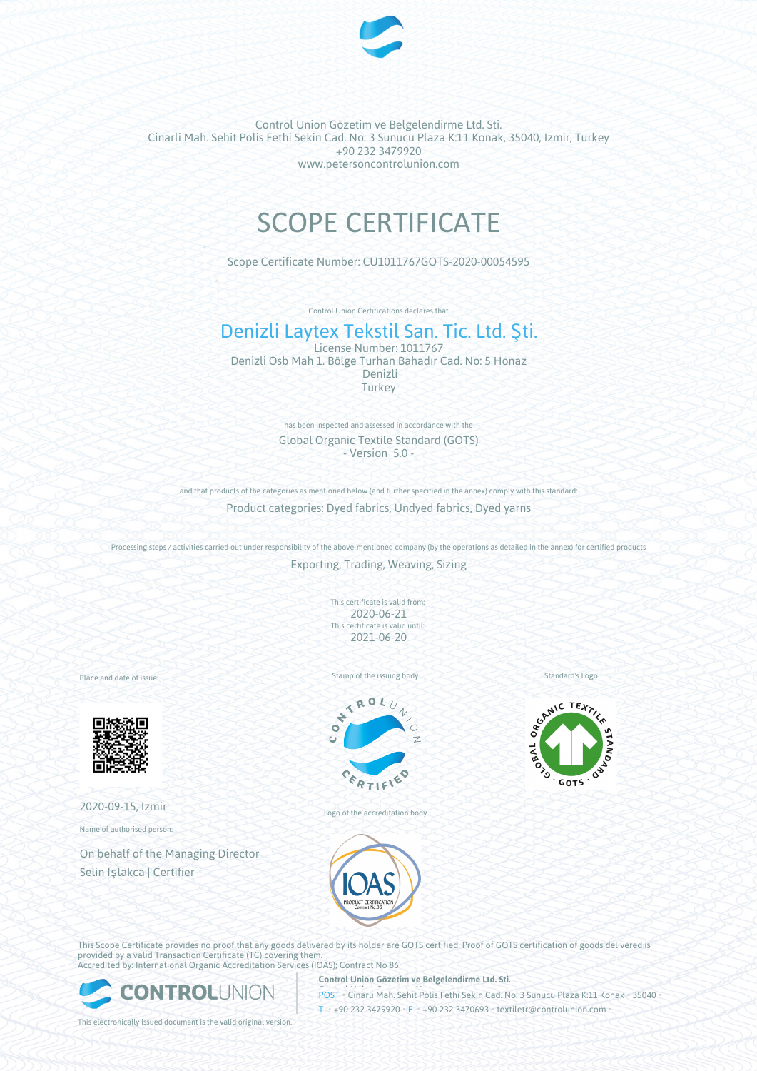

Control Union Gözetim ve Belgelendirme Ltd. Sti. Cinarli Mah. Sehit Polis Fethi Sekin Cad. No: 3 Sunucu Plaza K:11 Konak, 35040, Izmir, Turkey +90 232 3479920 www.petersoncontrolunion.com

# SCOPE CERTIFICATE

Scope Certificate Number: CU1011767GOTS-2020-00054595

Control Union Certifications declares that

## Denizli Laytex Tekstil San. Tic. Ltd. Şti.

License Number: 1011767 Denizli Osb Mah 1. Bölge Turhan Bahadır Cad. No: 5 Honaz Denizli Turkey

> has been inspected and assessed in accordance with the Global Organic Textile Standard (GOTS) - Version 5.0 -

and that products of the categories as mentioned below (and further specified in the annex) comply with this standard: Product categories: Dyed fabrics, Undyed fabrics, Dyed yarns

Processing steps / activities carried out under responsibility of the above-mentioned company (by the operations as detailed in the annex) for certified products Exporting, Trading, Weaving, Sizing

> This certificate is valid from: 2020-06-21 This certificate is valid until: 2021-06-20

Place and date of issue:



2020-09-15, Izmir

Name of authorised person:

On behalf of the Managing Director Selin Işlakca | Certifier

Stamp of the issuing body



Logo of the accreditation body

Standard's Logo



This Scope Certificate provides no proof that any goods delivered by its holder are GOTS certified. Proof of GOTS certification of goods delivered is provided by a valid Transaction Certificate (TC) covering them.



**Control Union Gözetim ve Belgelendirme Ltd. Sti.**

**POST** Cinarli Mah. Sehit Polis Fethi Sekin Cad. No: 3 Sunucu Plaza K:11 Konak • 35040 T • +90 232 3479920 • F • +90 232 3470693 • textiletr@controlunion.com

This electronically issued document is the valid original version.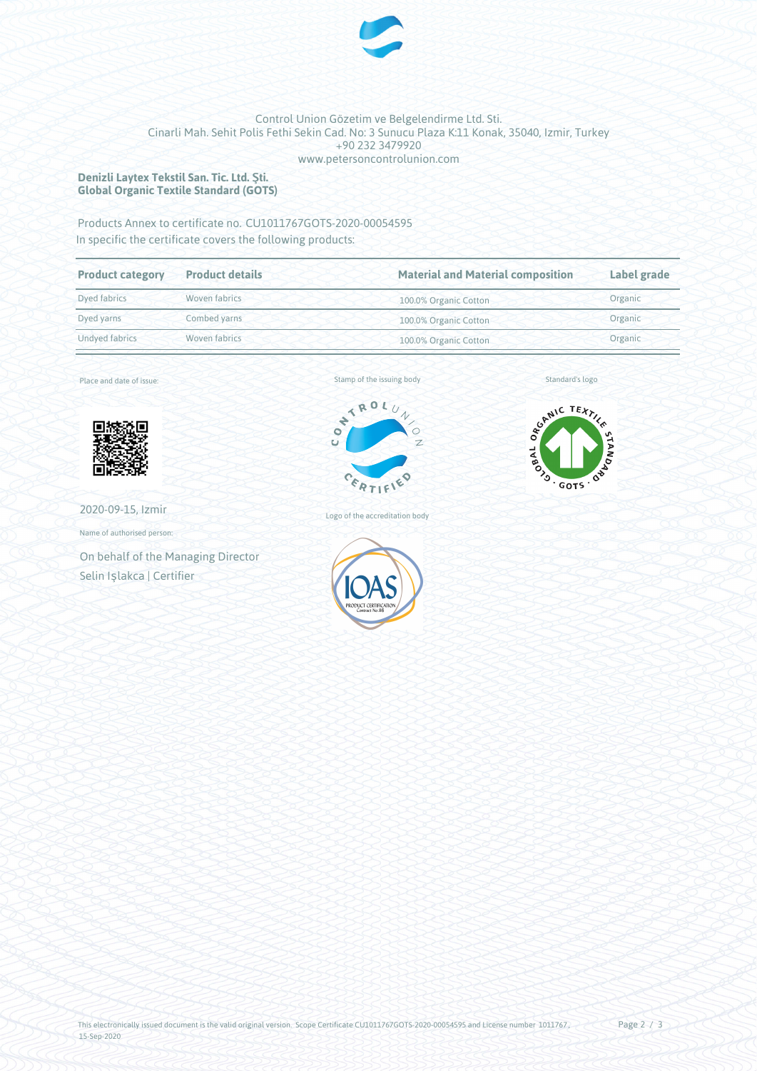

#### Control Union Gözetim ve Belgelendirme Ltd. Sti. Cinarli Mah. Sehit Polis Fethi Sekin Cad. No: 3 Sunucu Plaza K:11 Konak, 35040, Izmir, Turkey +90 232 3479920 www.petersoncontrolunion.com

#### **Denizli Laytex Tekstil San. Tic. Ltd. Şti. Global Organic Textile Standard (GOTS)**

### Products Annex to certificate no. CU1011767GOTS-2020-00054595 In specific the certificate covers the following products:

| <b>Product category</b> | <b>Product details</b> | <b>Material and Material composition</b> | Label grade |
|-------------------------|------------------------|------------------------------------------|-------------|
| Dyed fabrics            | Woven fabrics          | 100.0% Organic Cotton                    | Organic     |
| Dyed yarns              | Combed yarns           | 100.0% Organic Cotton                    | Organic     |
| Undved fabrics          | Woven fabrics          | 100.0% Organic Cotton                    | Organic     |

Place and date of issue:



2020-09-15, Izmir

Name of authorised person:

On behalf of the Managing Director Selin Işlakca | Certifier



Logo of the accreditation body



Standard's logo